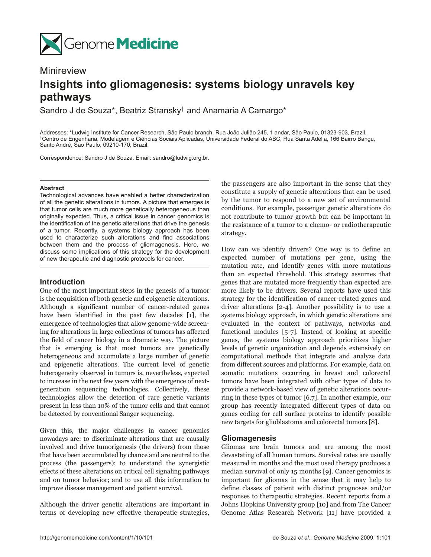

# Minireview **Insights into gliomagenesis: systems biology unravels key pathways**

Sandro J de Souza\*, Beatriz Stransky<sup>†</sup> and Anamaria A Camargo\*

Addresses: \*Ludwig Institute for Cancer Research, São Paulo branch, Rua João Julião 245, 1 andar, São Paulo, 01323-903, Brazil. †Centro de Engenharia, Modelagem e Ciências Sociais Aplicadas, Universidade Federal do ABC, Rua Santa Adélia, 166 Bairro Bangu, Santo André, São Paulo, 09210-170, Brazil.

Correspondence: Sandro J de Souza. Email: sandro@ludwig.org.br.

#### **Abstract**

Technological advances have enabled a better characterization of all the genetic alterations in tumors. A picture that emerges is that tumor cells are much more genetically heterogeneous than originally expected. Thus, a critical issue in cancer genomics is the identification of the genetic alterations that drive the genesis of a tumor. Recently, a systems biology approach has been used to characterize such alterations and find associations between them and the process of gliomagenesis. Here, we discuss some implications of this strategy for the development of new therapeutic and diagnostic protocols for cancer.

# **Introduction**

One of the most important steps in the genesis of a tumor is the acquisition of both genetic and epigenetic alterations. Although a significant number of cancer-related genes have been identified in the past few decades [1], the emergence of technologies that allow genome-wide screening for alterations in large collections of tumors has affected the field of cancer biology in a dramatic way. The picture that is emerging is that most tumors are genetically heterogeneous and accumulate a large number of genetic and epigenetic alterations. The current level of genetic heterogeneity observed in tumors is, nevertheless, expected to increase in the next few years with the emergence of nextgeneration sequencing technologies. Collectively, these technologies allow the detection of rare genetic variants present in less than 10% of the tumor cells and that cannot be detected by conventional Sanger sequencing.

Given this, the major challenges in cancer genomics nowadays are: to discriminate alterations that are causally involved and drive tumorigenesis (the drivers) from those that have been accumulated by chance and are neutral to the process (the passengers); to understand the synergistic effects of these alterations on critical cell signaling pathways and on tumor behavior; and to use all this information to improve disease management and patient survival.

Although the driver genetic alterations are important in terms of developing new effective therapeutic strategies,

the passengers are also important in the sense that they constitute a supply of genetic alterations that can be used by the tumor to respond to a new set of environmental conditions. For example, passenger genetic alterations do not contribute to tumor growth but can be important in the resistance of a tumor to a chemo- or radiotherapeutic strategy.

How can we identify drivers? One way is to define an expected number of mutations per gene, using the mutation rate, and identify genes with more mutations than an expected threshold. This strategy assumes that genes that are mutated more frequently than expected are more likely to be drivers. Several reports have used this strategy for the identification of cancer-related genes and driver alterations [2-4]. Another possibility is to use a systems biology approach, in which genetic alterations are evaluated in the context of pathways, networks and functional modules [5-7]. Instead of looking at specific genes, the systems biology approach prioritizes higher levels of genetic organization and depends extensively on computational methods that integrate and analyze data from different sources and platforms. For example, data on somatic mutations occurring in breast and colorectal tumors have been integrated with other types of data to provide a network-based view of genetic alterations occurring in these types of tumor [6,7]. In another example, our group has recently integrated different types of data on genes coding for cell surface proteins to identify possible new targets for glioblastoma and colorectal tumors [8].

# **Gliomagenesis**

Gliomas are brain tumors and are among the most devastating of all human tumors. Survival rates are usually measured in months and the most used therapy produces a median survival of only 15 months [9]. Cancer genomics is important for gliomas in the sense that it may help to define classes of patient with distinct prognoses and/or responses to therapeutic strategies. Recent reports from a Johns Hopkins University group [10] and from The Cancer Genome Atlas Research Network [11] have provided a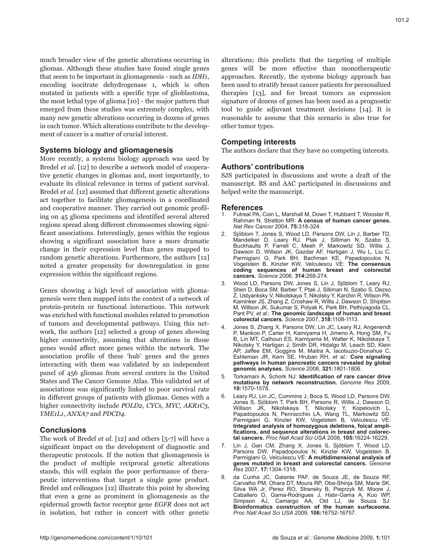much broader view of the genetic alterations occurring in gliomas. Although these studies have found single genes that seem to be important in gliomagenesis - such as *IDH1*, encoding isocitrate dehydrogenase 1, which is often mutated in patients with a specific type of glioblastoma, the most lethal type of glioma [10] - the major pattern that emerged from these studies was extremely complex, with many new genetic alterations occurring in dozens of genes in each tumor. Which alterations contribute to the development of cancer is a matter of crucial interest.

# **Systems biology and gliomagenesis**

More recently, a systems biology approach was used by Bredel *et al.* [12] to describe a network model of cooperative genetic changes in gliomas and, most importantly, to evaluate its clinical relevance in terms of patient survival. Bredel *et al.* [12] assumed that different genetic alterations act together to facilitate gliomagenesis in a coordinated and cooperative manner. They carried out genomic profiling on 45 glioma specimens and identified several altered regions spread along different chromosomes showing significant associations. Interestingly, genes within the regions showing a significant association have a more dramatic change in their expression level than genes mapped to random genetic alterations. Furthermore, the authors [12] noted a greater propensity for downregulation in gene expression within the significant regions.

Genes showing a high level of association with gliomagenesis were then mapped into the context of a network of protein-protein or functional interactions. This network was enriched with functional modules related to promotion of tumors and developmental pathways. Using this network, the authors [12] selected a group of genes showing higher connectivity, assuming that alterations in those genes would affect more genes within the network. The association profile of these 'hub' genes and the genes interacting with them was validated by an independent panel of 456 gliomas from several centers in the United States and The Cancer Genome Atlas. This validated set of associations was significantly linked to poor survival rate in different groups of patients with gliomas. Genes with a higher connectivity include *POLD2*, *CYCs*, *MYC*, *AKR1C3*, *YME1L1*, *ANXA7* and *PDCD4*.

# **Conclusions**

The work of Bredel *et al.* [12] and others [5-7] will have a significant impact on the development of diagnostic and therapeutic protocols. If the notion that gliomagenesis is the product of multiple reciprocal genetic alterations stands, this will explain the poor performance of therapeutic interventions that target a single gene product. Bredel and colleagues [12] illustrate this point by showing that even a gene as prominent in gliomagenesis as the epidermal growth factor receptor gene *EGFR* does not act in isolation, but rather in concert with other genetic

alterations; this predicts that the targeting of multiple genes will be more effective than monotherapeutic approaches. Recently, the systems biology approach has been used to stratify breast cancer patients for personalized therapies [13], and for breast tumors an expression signature of dozens of genes has been used as a prognostic tool to guide adjuvant treatment decisions [14]. It is reasonable to assume that this scenario is also true for other tumor types.

# **Competing interests**

The authors declare that they have no competing interests.

### **Authors' contributions**

SJS participated in discussions and wrote a draft of the manuscript. BS and AAC participated in discussions and helped write the manuscript.

#### **References**

- 1. Futreal PA, Coin L, Marshall M, Down T, Hubbard T, Wooster R, Rahman N, Stratton MR: **A census of human cancer genes.**  *Nat Rev Cancer* 2004, **75:**318-324.
- 2. Sjöblom T, Jones S, Wood LD, Parsons DW, Lin J, Barber TD, Mandelker D, Leary RJ, Ptak J, Silliman N, Szabo S, Buckhaults P, Farrell C, Meeh P, Markowitz SD, Willis J, Dawson D, Willson JK, Gazdar AF, Hartigan J, Wu L, Liu C, Parmigiani G, Park BH, Bachman KE, Papadopoulos N, Vogelstein B, Kinzler KW, Velculescu VE: **The consensus coding sequences of human breast and colorectal cancers.** *Science* 2006, **314:**268-274.
- 3. Wood LD, Parsons DW, Jones S, Lin J, Sjöblom T, Leary RJ, Shen D, Boca SM, Barber T, Ptak J, Silliman N, Szabo S, Dezso Z, Ustyanksky V, Nikolskaya T, Nikolsky Y, Karchin R, Wilson PA, Kaminker JS, Zhang Z, Croshaw R, Willis J, Dawson D, Shipitsin M, Willson JK, Sukumar S, Polyak K, Park BH, Pethiyagoda CL, Pant PV, *et al.*: **The genomic landscape of human and breast colorectal cancers.** *Science* 2007, **318:**1108-1113.
- 4. Jones S, Zhang X, Parsons DW, Lin JC, Leary RJ, Angenendt P, Mankoo P, Carter H, Kamiyama H, Jimeno A, Hong SM, Fu B, Lin MT, Calhoun ES, Kamiyama M, Walter K, Nikolskaya T, Nikolsky Y, Hartigan J, Smith DR, Hidalgo M, Leach SD, Klein AP, Jaffee EM, Goggins M, Maitra A, Iacobuzio-Donahue C, Eshleman JR, Kern SE, Hruban RH, *et al.*: **Core signaling pathways in human pancreatic cancers revealed by global genomic analyses.** *Science* 2008, **321:**1801-1806.
- 5. Torkamani A, Schork NJ: **Identification of rare cancer drive mutations by network reconstruction.** *Genome Res* 2009, **19:**1570-1578.
- 6. Leary RJ, Lin JC, Cummins J, Boca S, Wood LD, Parsons DW, Jones S, Sjöblom T, Park BH, Parsons R, Willis J, Dawson D, Willson JK, Nikolskaya T, Nikolsky Y, Kopelovich L, Papadopoulos N, Pennacchio LA, Wang TL, Markowitz SD, Parmigiani G, Kinzler KW, Vogelstein B, Velculescu VE: **Integrated analysis of homozygous deletions, foical amplifications, and sequence alterations in breast and colorectal cancers.** *Proc Natl Acad Sci USA* 2008, **105:**16224-16229.
- 7. Lin J, Gan CM, Zhang X, Jones S, Sjöblom T, Wood LD, Parsons DW, Papadopoulos N, Kinzler KW, Vogelstein B, Parmigiani G, Velculescu VE: **A multidimensional analysis of genes mutated in breast and colorectal cancers.** *Genome Res* 2007, **17:**1304-1318.
- 8. da Cunha JC, Galante PAF, de Souza JE, de Souza RF, Carvalho PM, Ohara DT, Moura RP, Oba-Shinja SM, Marie SK, Silva WA Jr, Perez RO, Stransky B, Pieprzyk M, Moore J, Caballero O, Gama-Rodrigues J, Habr-Gama A, Kuo WP, Simpson AJ, Camargo AA, Old LJ, de Souza SJ: **Bioinformatics construction of the human surfaceome.**  *Proc Natl Acad Sci USA* 2009, **106:**16752-16757.